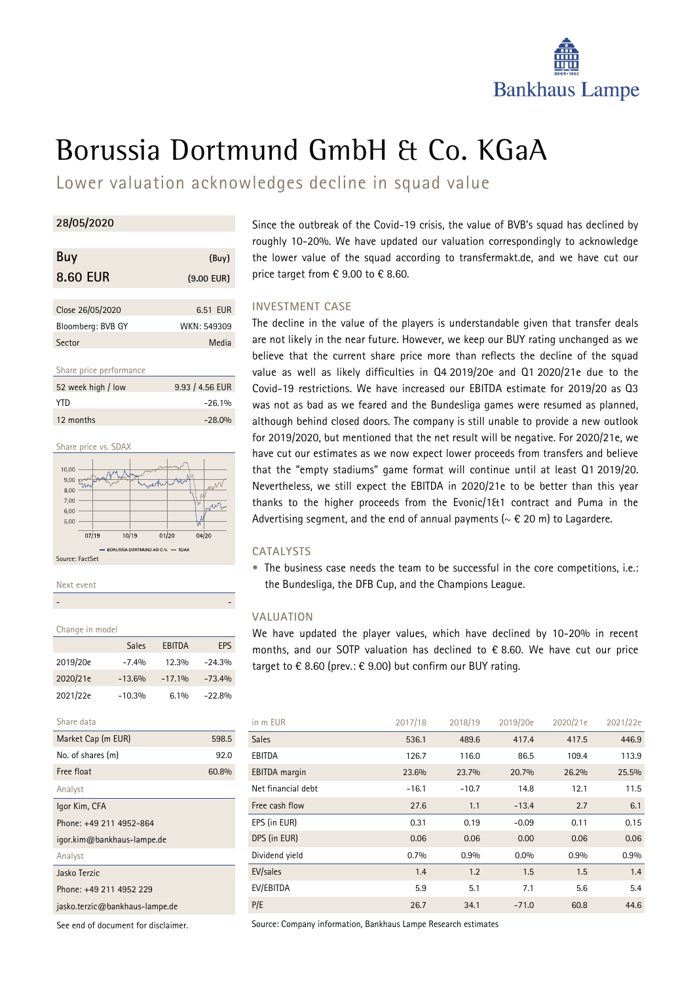

# Borussia Dortmund GmbH & Co. KGaA

Lower valuation acknowledges decline in squad value

# **28/05/2020**

| Buy               | (Buy)        |
|-------------------|--------------|
| <b>8.60 EUR</b>   | $(9.00$ EUR) |
| Close 26/05/2020  | 6.51 EUR     |
| Bloomberg: BVB GY | WKN: 549309  |
| Sector            | Media        |

Share price performance

| 52 week high / low | 9.93 / 4.56 EUR |
|--------------------|-----------------|
| YTD.               | $-26.1%$        |
| 12 months          | $-28.0%$        |



Next event

# - -

| Change in model     |          |               |          |  |  |  |  |  |
|---------------------|----------|---------------|----------|--|--|--|--|--|
|                     | Sales    | <b>EBITDA</b> | EPS      |  |  |  |  |  |
| 2019/20e            | $-7.4%$  | 12.3%         | $-24.3%$ |  |  |  |  |  |
| 2020/21e            | $-13.6%$ | $-17.1%$      | $-73.4%$ |  |  |  |  |  |
| 2021/22e            | $-10.3%$ | $6.1\%$       | $-22.8%$ |  |  |  |  |  |
| Share data          |          |               |          |  |  |  |  |  |
| Market Cap (m EUR)  |          |               | 598.5    |  |  |  |  |  |
| No. of shares (m)   |          |               |          |  |  |  |  |  |
| Free float<br>60.8% |          |               |          |  |  |  |  |  |
|                     |          |               |          |  |  |  |  |  |

Analyst Igor Kim, CFA

Phone: +49 211 4952-864

igor.kim@bankhaus-lampe.de

Analyst

Jasko Terzic

Phone: +49 211 4952 229

jasko.terzic@bankhaus-lampe.de

See end of document for disclaimer.

Since the outbreak of the Covid-19 crisis, the value of BVB's squad has declined by roughly 10-20%. We have updated our valuation correspondingly to acknowledge the lower value of the squad according to transfermakt.de, and we have cut our price target from  $\epsilon$  9.00 to  $\epsilon$  8.60.

# **INVESTMENT CASE**

The decline in the value of the players is understandable given that transfer deals are not likely in the near future. However, we keep our BUY rating unchanged as we believe that the current share price more than reflects the decline of the squad value as well as likely difficulties in Q4 2019/20e and Q1 2020/21e due to the Covid-19 restrictions. We have increased our EBITDA estimate for 2019/20 as Q3 was not as bad as we feared and the Bundesliga games were resumed as planned, although behind closed doors. The company is still unable to provide a new outlook for 2019/2020, but mentioned that the net result will be negative. For 2020/21e, we have cut our estimates as we now expect lower proceeds from transfers and believe that the "empty stadiums" game format will continue until at least Q1 2019/20. Nevertheless, we still expect the EBITDA in 2020/21e to be better than this year thanks to the higher proceeds from the Evonic/1&1 contract and Puma in the Advertising segment, and the end of annual payments ( $\sim \epsilon$  20 m) to Lagardere.

# **CATALYSTS**

• The business case needs the team to be successful in the core competitions, i.e.: the Bundesliga, the DFB Cup, and the Champions League.

# **VALUATION**

We have updated the player values, which have declined by 10-20% in recent months, and our SOTP valuation has declined to € 8.60. We have cut our price target to  $\epsilon$  8.60 (prev.:  $\epsilon$  9.00) but confirm our BUY rating.

| in m EUR             | 2017/18 | 2018/19 | 2019/20e | 2020/21e | 2021/22e |
|----------------------|---------|---------|----------|----------|----------|
| <b>Sales</b>         | 536.1   | 489.6   | 417.4    | 417.5    | 446.9    |
| EBITDA               | 126.7   | 116.0   | 86.5     | 109.4    | 113.9    |
| <b>EBITDA</b> margin | 23.6%   | 23.7%   | 20.7%    | 26.2%    | 25.5%    |
| Net financial debt   | $-16.1$ | $-10.7$ | 14.8     | 12.1     | 11.5     |
| Free cash flow       | 27.6    | 1.1     | $-13.4$  | 2.7      | 6.1      |
| EPS (in EUR)         | 0.31    | 0.19    | $-0.09$  | 0.11     | 0.15     |
| DPS (in EUR)         | 0.06    | 0.06    | 0.00     | 0.06     | 0.06     |
| Dividend yield       | 0.7%    | 0.9%    | $0.0\%$  | 0.9%     | 0.9%     |
| EV/sales             | 1.4     | 1.2     | 1.5      | 1.5      | 1.4      |
| EV/EBITDA            | 5.9     | 5.1     | 7.1      | 5.6      | 5.4      |
| P/E                  | 26.7    | 34.1    | $-71.0$  | 60.8     | 44.6     |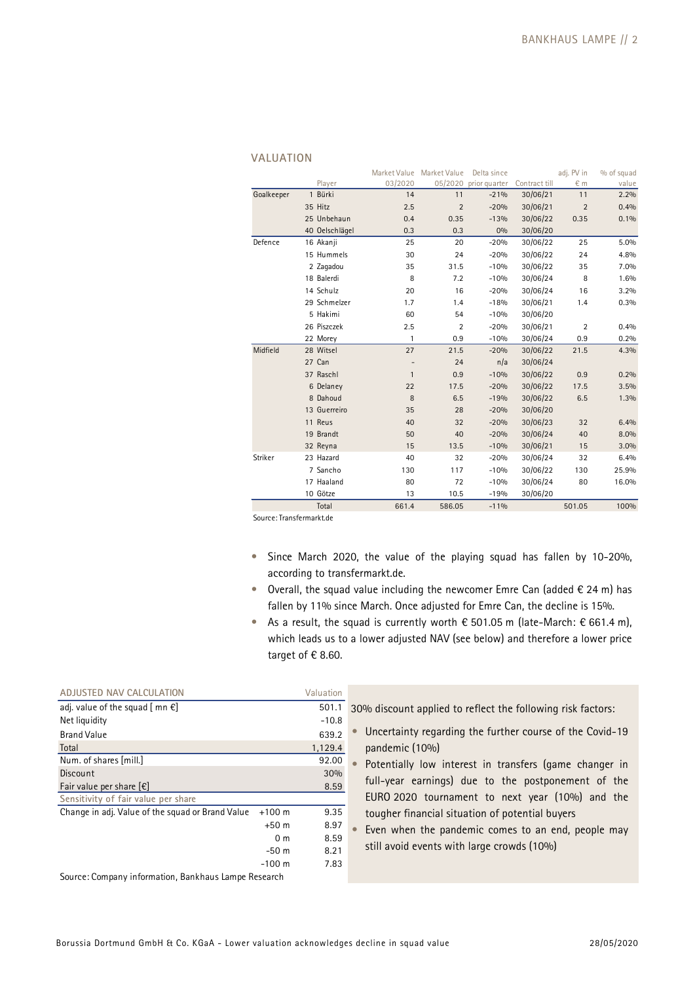|            |                | Market Value | Market Value   | Delta since           |               | adj. PV in     | % of squad |
|------------|----------------|--------------|----------------|-----------------------|---------------|----------------|------------|
|            | Player         | 03/2020      |                | 05/2020 prior quarter | Contract till | € m            | value      |
| Goalkeeper | 1 Bürki        | 14           | 11             | $-21%$                | 30/06/21      | 11             | 2.2%       |
|            | 35 Hitz        | 2.5          | $\overline{2}$ | $-20%$                | 30/06/21      | $\overline{2}$ | 0.4%       |
|            | 25 Unbehaun    | 0.4          | 0.35           | $-13%$                | 30/06/22      | 0.35           | 0.1%       |
|            | 40 Oelschlägel | 0.3          | 0.3            | 0%                    | 30/06/20      |                |            |
| Defence    | 16 Akanji      | 25           | 20             | $-20%$                | 30/06/22      | 25             | 5.0%       |
|            | 15 Hummels     | 30           | 24             | $-20%$                | 30/06/22      | 24             | 4.8%       |
|            | 2 Zagadou      | 35           | 31.5           | $-10%$                | 30/06/22      | 35             | 7.0%       |
|            | 18 Balerdi     | 8            | 7.2            | $-10%$                | 30/06/24      | 8              | 1.6%       |
|            | 14 Schulz      | 20           | 16             | $-20%$                | 30/06/24      | 16             | 3.2%       |
|            | 29 Schmelzer   | 1.7          | 1.4            | $-18%$                | 30/06/21      | 1.4            | 0.3%       |
|            | 5 Hakimi       | 60           | 54             | $-10%$                | 30/06/20      |                |            |
|            | 26 Piszczek    | 2.5          | $\overline{2}$ | $-20%$                | 30/06/21      | $\overline{2}$ | 0.4%       |
|            | 22 Morey       | 1            | 0.9            | $-10%$                | 30/06/24      | 0.9            | 0.2%       |
| Midfield   | 28 Witsel      | 27           | 21.5           | $-20%$                | 30/06/22      | 21.5           | 4.3%       |
|            | 27 Can         |              | 24             | n/a                   | 30/06/24      |                |            |
|            | 37 Raschl      | $\mathbf{1}$ | 0.9            | $-10%$                | 30/06/22      | 0.9            | 0.2%       |
|            | 6 Delaney      | 22           | 17.5           | $-20%$                | 30/06/22      | 17.5           | 3.5%       |
|            | 8 Dahoud       | 8            | 6.5            | $-19%$                | 30/06/22      | 6.5            | 1.3%       |
|            | 13 Guerreiro   | 35           | 28             | $-20%$                | 30/06/20      |                |            |
|            | 11 Reus        | 40           | 32             | $-20%$                | 30/06/23      | 32             | 6.4%       |
|            | 19 Brandt      | 50           | 40             | $-20%$                | 30/06/24      | 40             | 8.0%       |
|            | 32 Reyna       | 15           | 13.5           | $-10%$                | 30/06/21      | 15             | 3.0%       |
| Striker    | 23 Hazard      | 40           | 32             | $-20%$                | 30/06/24      | 32             | 6.4%       |
|            | 7 Sancho       | 130          | 117            | $-10%$                | 30/06/22      | 130            | 25.9%      |
|            | 17 Haaland     | 80           | 72             | $-10%$                | 30/06/24      | 80             | 16.0%      |
|            | 10 Götze       | 13           | 10.5           | $-19%$                | 30/06/20      |                |            |
|            | Total          | 661.4        | 586.05         | $-11%$                |               | 501.05         | 100%       |

#### **VALUATION**

Source: Transfermarkt.de

- Since March 2020, the value of the playing squad has fallen by 10-20%, according to transfermarkt.de.
- Overall, the squad value including the newcomer Emre Can (added  $\epsilon$  24 m) has fallen by 11% since March. Once adjusted for Emre Can, the decline is 15%.
- As a result, the squad is currently worth  $\epsilon$  501.05 m (late-March:  $\epsilon$  661.4 m), which leads us to a lower adjusted NAV (see below) and therefore a lower price target of  $€ 8.60$ .

| ADJUSTED NAV CALCULATION                             |                | Valuation |                                                             |
|------------------------------------------------------|----------------|-----------|-------------------------------------------------------------|
| adj. value of the squad $[$ mn $\epsilon]$           |                | 501.1     | 30% discount applied to reflect the following risk factors: |
| Net liquidity                                        |                | $-10.8$   |                                                             |
| <b>Brand Value</b>                                   |                | 639.2     | Uncertainty regarding the further course of the Covid-19    |
| Total                                                |                | 1,129.4   | pandemic (10%)                                              |
| Num. of shares [mill.]                               |                | 92.00     | Potentially low interest in transfers (game changer in      |
| Discount                                             |                | 30%       |                                                             |
| Fair value per share $[\epsilon]$                    |                | 8.59      | full-year earnings) due to the postponement of the          |
| Sensitivity of fair value per share                  |                |           | EURO 2020 tournament to next year (10%) and the             |
| Change in adj. Value of the squad or Brand Value     | $+100$ m       | 9.35      | tougher financial situation of potential buyers             |
|                                                      | $+50m$         | 8.97      | Even when the pandemic comes to an end, people may          |
|                                                      | 0 <sub>m</sub> | 8.59      |                                                             |
|                                                      | $-50m$         | 8.21      | still avoid events with large crowds (10%)                  |
|                                                      | $-100$ m       | 7.83      |                                                             |
| Source: Company information, Bankhaus Lampe Research |                |           |                                                             |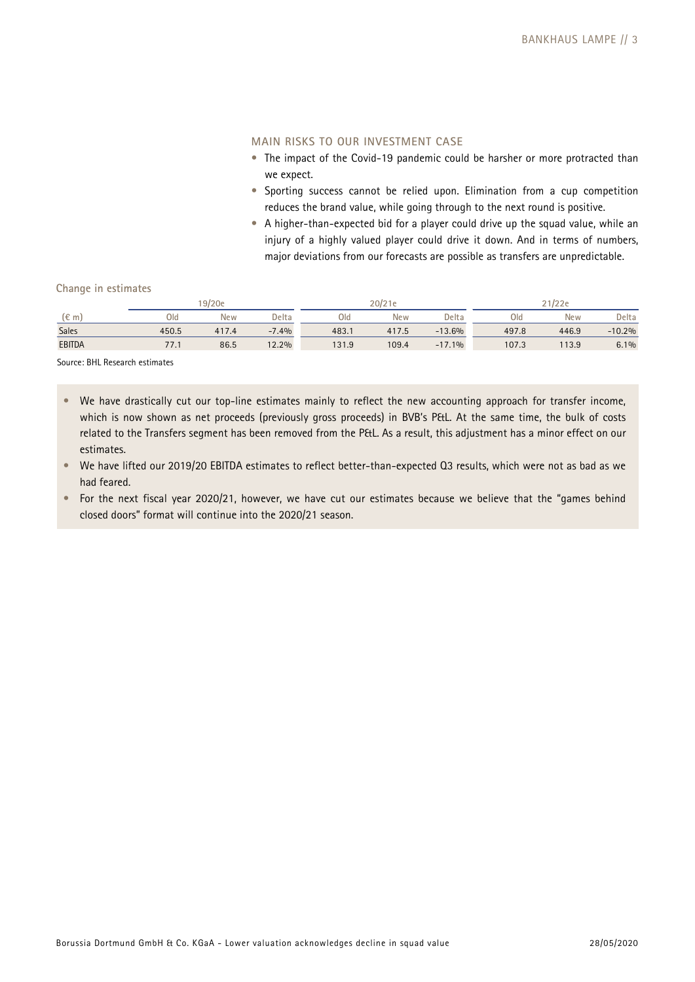# **MAIN RISKS TO OUR INVESTMENT CASE**

- The impact of the Covid-19 pandemic could be harsher or more protracted than we expect.
- Sporting success cannot be relied upon. Elimination from a cup competition reduces the brand value, while going through to the next round is positive.
- A higher-than-expected bid for a player could drive up the squad value, while an injury of a highly valued player could drive it down. And in terms of numbers, major deviations from our forecasts are possible as transfers are unpredictable.

### **Change in estimates**

|               | 19/20e |            |         | 20/21 |       |          | $^{\circ}$ 1/22e |            |          |
|---------------|--------|------------|---------|-------|-------|----------|------------------|------------|----------|
| $(\epsilon$ m | Old    | <b>New</b> | Delta   | Old   | New   | Delta    | Old              | <b>New</b> | Delta    |
| Sales         | 450.5  | 417.4      | $-7.4%$ | 483.1 | 417.5 | $-13.6%$ | 497.8            | 446.9      | $-10.2%$ |
| <b>EBITDA</b> | 77.1   | 86.5       | 12.2%   | 131.9 | 109.4 | $-17.1%$ | 107.3            | 113.9      | 6.1%     |

Source: BHL Research estimates

- We have drastically cut our top-line estimates mainly to reflect the new accounting approach for transfer income, which is now shown as net proceeds (previously gross proceeds) in BVB's P&L. At the same time, the bulk of costs related to the Transfers segment has been removed from the P&L. As a result, this adjustment has a minor effect on our estimates.
- We have lifted our 2019/20 EBITDA estimates to reflect better-than-expected Q3 results, which were not as bad as we had feared.
- For the next fiscal year 2020/21, however, we have cut our estimates because we believe that the "games behind closed doors" format will continue into the 2020/21 season.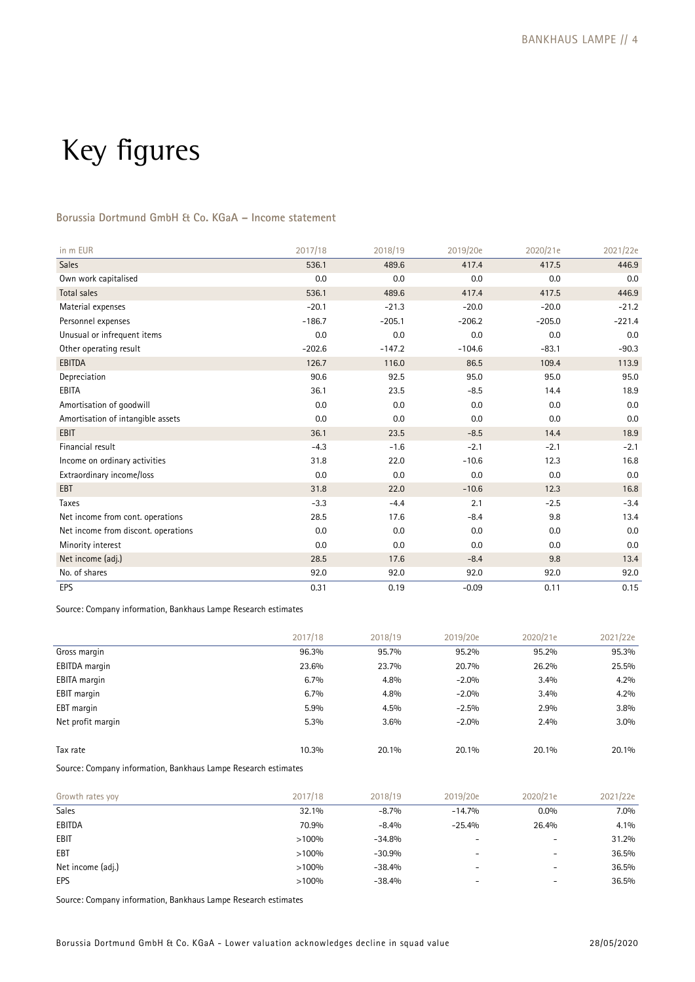# Key figures

# **Borussia Dortmund GmbH & Co. KGaA – Income statement**

| in m EUR                            | 2017/18  | 2018/19  | 2019/20e | 2020/21e | 2021/22e |
|-------------------------------------|----------|----------|----------|----------|----------|
| Sales                               | 536.1    | 489.6    | 417.4    | 417.5    | 446.9    |
| Own work capitalised                | 0.0      | 0.0      | 0.0      | 0.0      | 0.0      |
| Total sales                         | 536.1    | 489.6    | 417.4    | 417.5    | 446.9    |
| Material expenses                   | $-20.1$  | $-21.3$  | $-20.0$  | $-20.0$  | $-21.2$  |
| Personnel expenses                  | $-186.7$ | $-205.1$ | $-206.2$ | $-205.0$ | $-221.4$ |
| Unusual or infrequent items         | 0.0      | 0.0      | 0.0      | 0.0      | 0.0      |
| Other operating result              | $-202.6$ | $-147.2$ | $-104.6$ | $-83.1$  | $-90.3$  |
| <b>EBITDA</b>                       | 126.7    | 116.0    | 86.5     | 109.4    | 113.9    |
| Depreciation                        | 90.6     | 92.5     | 95.0     | 95.0     | 95.0     |
| EBITA                               | 36.1     | 23.5     | $-8.5$   | 14.4     | 18.9     |
| Amortisation of goodwill            | 0.0      | 0.0      | 0.0      | 0.0      | 0.0      |
| Amortisation of intangible assets   | 0.0      | 0.0      | 0.0      | 0.0      | 0.0      |
| <b>EBIT</b>                         | 36.1     | 23.5     | $-8.5$   | 14.4     | 18.9     |
| Financial result                    | $-4.3$   | $-1.6$   | $-2.1$   | $-2.1$   | $-2.1$   |
| Income on ordinary activities       | 31.8     | 22.0     | $-10.6$  | 12.3     | 16.8     |
| Extraordinary income/loss           | 0.0      | 0.0      | 0.0      | 0.0      | 0.0      |
| EBT                                 | 31.8     | 22.0     | $-10.6$  | 12.3     | 16.8     |
| Taxes                               | $-3.3$   | $-4.4$   | 2.1      | $-2.5$   | $-3.4$   |
| Net income from cont. operations    | 28.5     | 17.6     | $-8.4$   | 9.8      | 13.4     |
| Net income from discont. operations | 0.0      | 0.0      | 0.0      | 0.0      | 0.0      |
| Minority interest                   | 0.0      | 0.0      | 0.0      | 0.0      | 0.0      |
| Net income (adj.)                   | 28.5     | 17.6     | $-8.4$   | 9.8      | 13.4     |
| No. of shares                       | 92.0     | 92.0     | 92.0     | 92.0     | 92.0     |
| EPS                                 | 0.31     | 0.19     | $-0.09$  | 0.11     | 0.15     |

Source: Company information, Bankhaus Lampe Research estimates

|                     | 2017/18 | 2018/19 | 2019/20e | 2020/21e | 2021/22e |
|---------------------|---------|---------|----------|----------|----------|
| Gross margin        | 96.3%   | 95.7%   | 95.2%    | 95.2%    | 95.3%    |
| EBITDA margin       | 23.6%   | 23.7%   | 20.7%    | 26.2%    | 25.5%    |
| <b>EBITA</b> margin | 6.7%    | 4.8%    | $-2.0%$  | 3.4%     | 4.2%     |
| EBIT margin         | 6.7%    | 4.8%    | $-2.0%$  | 3.4%     | 4.2%     |
| EBT margin          | 5.9%    | 4.5%    | $-2.5%$  | 2.9%     | 3.8%     |
| Net profit margin   | 5.3%    | 3.6%    | $-2.0%$  | 2.4%     | 3.0%     |
|                     |         |         |          |          |          |
| Tax rate            | 10.3%   | 20.1%   | 20.1%    | 20.1%    | 20.1%    |

Source: Company information, Bankhaus Lampe Research estimates

| Growth rates yoy  | 2017/18 | 2018/19  | 2019/20e                 | 2020/21e | 2021/22e |
|-------------------|---------|----------|--------------------------|----------|----------|
| <b>Sales</b>      | 32.1%   | $-8.7%$  | $-14.7%$                 | $0.0\%$  | $7.0\%$  |
| EBITDA            | 70.9%   | $-8.4%$  | $-25.4%$                 | 26.4%    | $4.1\%$  |
| <b>EBIT</b>       | >100%   | $-34.8%$ |                          |          | 31.2%    |
| EBT               | >100%   | $-30.9%$ | $\overline{\phantom{m}}$ | -        | 36.5%    |
| Net income (adj.) | >100%   | $-38.4%$ | $\overline{\phantom{a}}$ | -        | 36.5%    |
| EPS               | >100%   | $-38.4%$ | $\overline{\phantom{0}}$ | -        | 36.5%    |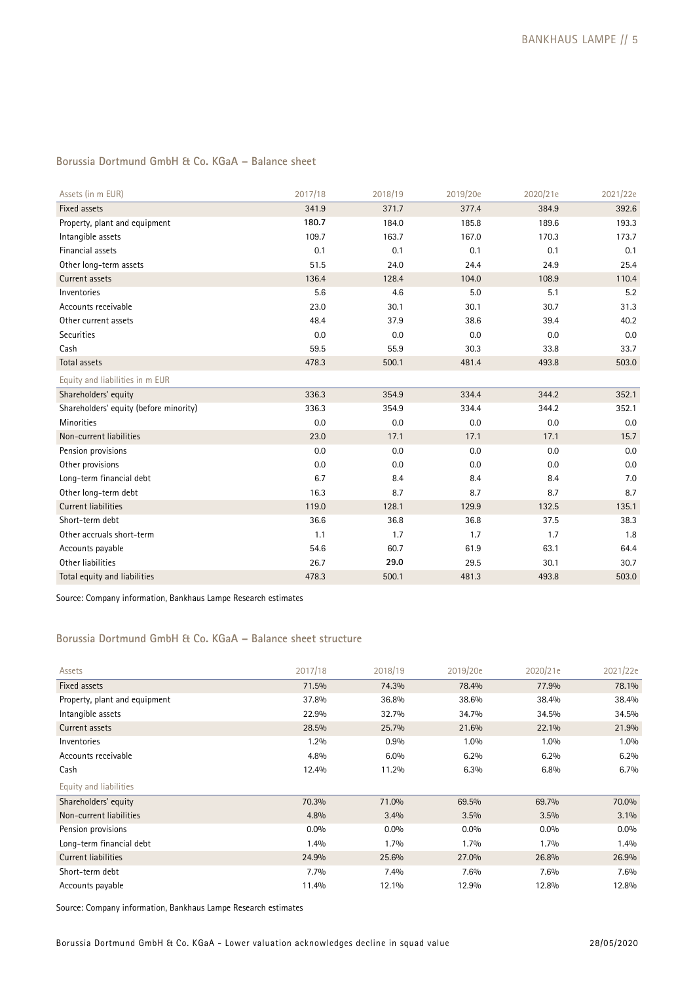# **Borussia Dortmund GmbH & Co. KGaA – Balance sheet**

| Assets (in m EUR)                      | 2017/18 | 2018/19 | 2019/20e | 2020/21e | 2021/22e |
|----------------------------------------|---------|---------|----------|----------|----------|
| Fixed assets                           | 341.9   | 371.7   | 377.4    | 384.9    | 392.6    |
| Property, plant and equipment          | 180.7   | 184.0   | 185.8    | 189.6    | 193.3    |
| Intangible assets                      | 109.7   | 163.7   | 167.0    | 170.3    | 173.7    |
| Financial assets                       | 0.1     | 0.1     | 0.1      | 0.1      | 0.1      |
| Other long-term assets                 | 51.5    | 24.0    | 24.4     | 24.9     | 25.4     |
| Current assets                         | 136.4   | 128.4   | 104.0    | 108.9    | 110.4    |
| Inventories                            | 5.6     | 4.6     | 5.0      | 5.1      | 5.2      |
| Accounts receivable                    | 23.0    | 30.1    | 30.1     | 30.7     | 31.3     |
| Other current assets                   | 48.4    | 37.9    | 38.6     | 39.4     | 40.2     |
| Securities                             | 0.0     | 0.0     | 0.0      | 0.0      | 0.0      |
| Cash                                   | 59.5    | 55.9    | 30.3     | 33.8     | 33.7     |
| Total assets                           | 478.3   | 500.1   | 481.4    | 493.8    | 503.0    |
| Equity and liabilities in m EUR        |         |         |          |          |          |
| Shareholders' equity                   | 336.3   | 354.9   | 334.4    | 344.2    | 352.1    |
| Shareholders' equity (before minority) | 336.3   | 354.9   | 334.4    | 344.2    | 352.1    |
| Minorities                             | 0.0     | 0.0     | 0.0      | 0.0      | 0.0      |
| Non-current liabilities                | 23.0    | 17.1    | 17.1     | 17.1     | 15.7     |
| Pension provisions                     | 0.0     | 0.0     | 0.0      | 0.0      | 0.0      |
| Other provisions                       | 0.0     | 0.0     | 0.0      | 0.0      | 0.0      |
| Long-term financial debt               | 6.7     | 8.4     | 8.4      | 8.4      | 7.0      |
| Other long-term debt                   | 16.3    | 8.7     | 8.7      | 8.7      | 8.7      |
| <b>Current liabilities</b>             | 119.0   | 128.1   | 129.9    | 132.5    | 135.1    |
| Short-term debt                        | 36.6    | 36.8    | 36.8     | 37.5     | 38.3     |
| Other accruals short-term              | 1.1     | 1.7     | 1.7      | 1.7      | 1.8      |
| Accounts payable                       | 54.6    | 60.7    | 61.9     | 63.1     | 64.4     |
| Other liabilities                      | 26.7    | 29.0    | 29.5     | 30.1     | 30.7     |
| Total equity and liabilities           | 478.3   | 500.1   | 481.3    | 493.8    | 503.0    |

Source: Company information, Bankhaus Lampe Research estimates

# **Borussia Dortmund GmbH & Co. KGaA – Balance sheet structure**

| Assets                        | 2017/18 | 2018/19 | 2019/20e | 2020/21e | 2021/22e |
|-------------------------------|---------|---------|----------|----------|----------|
| Fixed assets                  | 71.5%   | 74.3%   | 78.4%    | 77.9%    | 78.1%    |
| Property, plant and equipment | 37.8%   | 36.8%   | 38.6%    | 38.4%    | 38.4%    |
| Intangible assets             | 22.9%   | 32.7%   | 34.7%    | 34.5%    | 34.5%    |
| Current assets                | 28.5%   | 25.7%   | 21.6%    | 22.1%    | 21.9%    |
| Inventories                   | $1.2\%$ | 0.9%    | $1.0\%$  | 1.0%     | 1.0%     |
| Accounts receivable           | 4.8%    | 6.0%    | 6.2%     | 6.2%     | 6.2%     |
| Cash                          | 12.4%   | 11.2%   | 6.3%     | 6.8%     | 6.7%     |
| Equity and liabilities        |         |         |          |          |          |
| Shareholders' equity          | 70.3%   | 71.0%   | 69.5%    | 69.7%    | 70.0%    |
| Non-current liabilities       | 4.8%    | 3.4%    | 3.5%     | 3.5%     | $3.1\%$  |
| Pension provisions            | $0.0\%$ | $0.0\%$ | $0.0\%$  | $0.0\%$  | $0.0\%$  |
| Long-term financial debt      | 1.4%    | $1.7\%$ | $1.7\%$  | 1.7%     | 1.4%     |
| Current liabilities           | 24.9%   | 25.6%   | 27.0%    | 26.8%    | 26.9%    |
| Short-term debt               | $7.7\%$ | 7.4%    | 7.6%     | 7.6%     | $7.6\%$  |
| Accounts payable              | 11.4%   | 12.1%   | 12.9%    | 12.8%    | 12.8%    |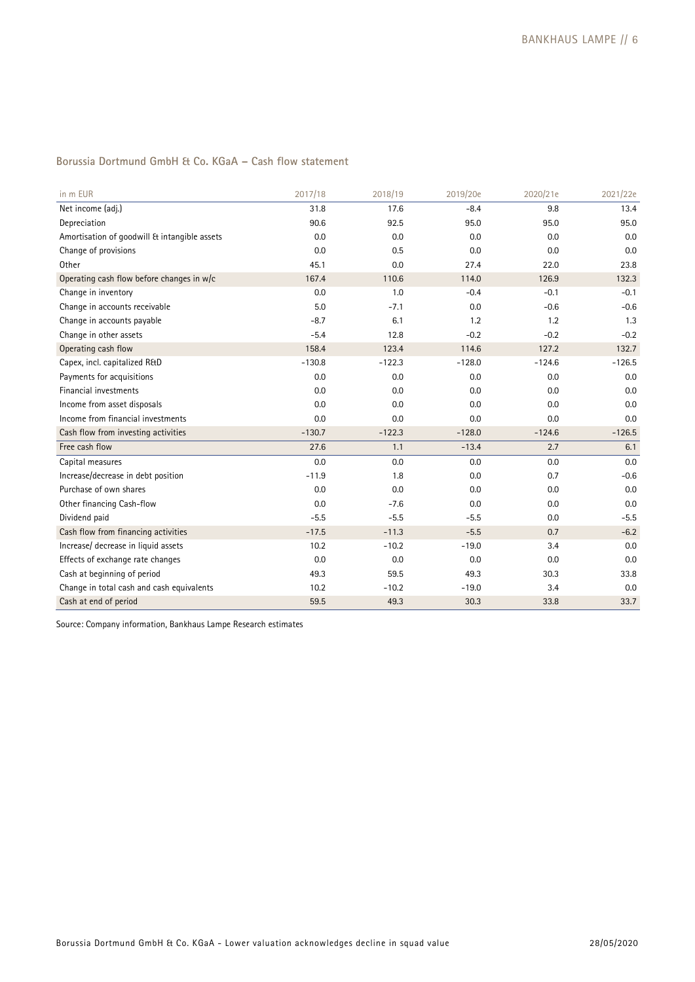# **Borussia Dortmund GmbH & Co. KGaA – Cash flow statement**

| in m EUR                                     | 2017/18  | 2018/19  | 2019/20e | 2020/21e | 2021/22e |
|----------------------------------------------|----------|----------|----------|----------|----------|
| Net income (adj.)                            | 31.8     | 17.6     | $-8.4$   | 9.8      | 13.4     |
| Depreciation                                 | 90.6     | 92.5     | 95.0     | 95.0     | 95.0     |
| Amortisation of goodwill & intangible assets | 0.0      | 0.0      | 0.0      | 0.0      | 0.0      |
| Change of provisions                         | 0.0      | 0.5      | 0.0      | 0.0      | 0.0      |
| Other                                        | 45.1     | 0.0      | 27.4     | 22.0     | 23.8     |
| Operating cash flow before changes in w/c    | 167.4    | 110.6    | 114.0    | 126.9    | 132.3    |
| Change in inventory                          | 0.0      | 1.0      | $-0.4$   | $-0.1$   | $-0.1$   |
| Change in accounts receivable                | 5.0      | $-7.1$   | 0.0      | $-0.6$   | $-0.6$   |
| Change in accounts payable                   | $-8.7$   | 6.1      | 1.2      | 1.2      | 1.3      |
| Change in other assets                       | $-5.4$   | 12.8     | $-0.2$   | $-0.2$   | $-0.2$   |
| Operating cash flow                          | 158.4    | 123.4    | 114.6    | 127.2    | 132.7    |
| Capex, incl. capitalized R&D                 | $-130.8$ | $-122.3$ | $-128.0$ | $-124.6$ | $-126.5$ |
| Payments for acquisitions                    | 0.0      | 0.0      | 0.0      | 0.0      | 0.0      |
| Financial investments                        | 0.0      | 0.0      | 0.0      | 0.0      | 0.0      |
| Income from asset disposals                  | 0.0      | 0.0      | 0.0      | 0.0      | 0.0      |
| Income from financial investments            | 0.0      | 0.0      | 0.0      | 0.0      | 0.0      |
| Cash flow from investing activities          | $-130.7$ | $-122.3$ | $-128.0$ | $-124.6$ | $-126.5$ |
| Free cash flow                               | 27.6     | 1.1      | $-13.4$  | 2.7      | 6.1      |
| Capital measures                             | 0.0      | 0.0      | 0.0      | 0.0      | 0.0      |
| Increase/decrease in debt position           | $-11.9$  | 1.8      | 0.0      | 0.7      | $-0.6$   |
| Purchase of own shares                       | 0.0      | 0.0      | 0.0      | 0.0      | 0.0      |
| Other financing Cash-flow                    | 0.0      | $-7.6$   | 0.0      | 0.0      | 0.0      |
| Dividend paid                                | $-5.5$   | $-5.5$   | $-5.5$   | 0.0      | $-5.5$   |
| Cash flow from financing activities          | $-17.5$  | $-11.3$  | $-5.5$   | 0.7      | $-6.2$   |
| Increase/ decrease in liquid assets          | 10.2     | $-10.2$  | $-19.0$  | 3.4      | 0.0      |
| Effects of exchange rate changes             | 0.0      | 0.0      | 0.0      | 0.0      | 0.0      |
| Cash at beginning of period                  | 49.3     | 59.5     | 49.3     | 30.3     | 33.8     |
| Change in total cash and cash equivalents    | 10.2     | $-10.2$  | $-19.0$  | 3.4      | 0.0      |
| Cash at end of period                        | 59.5     | 49.3     | 30.3     | 33.8     | 33.7     |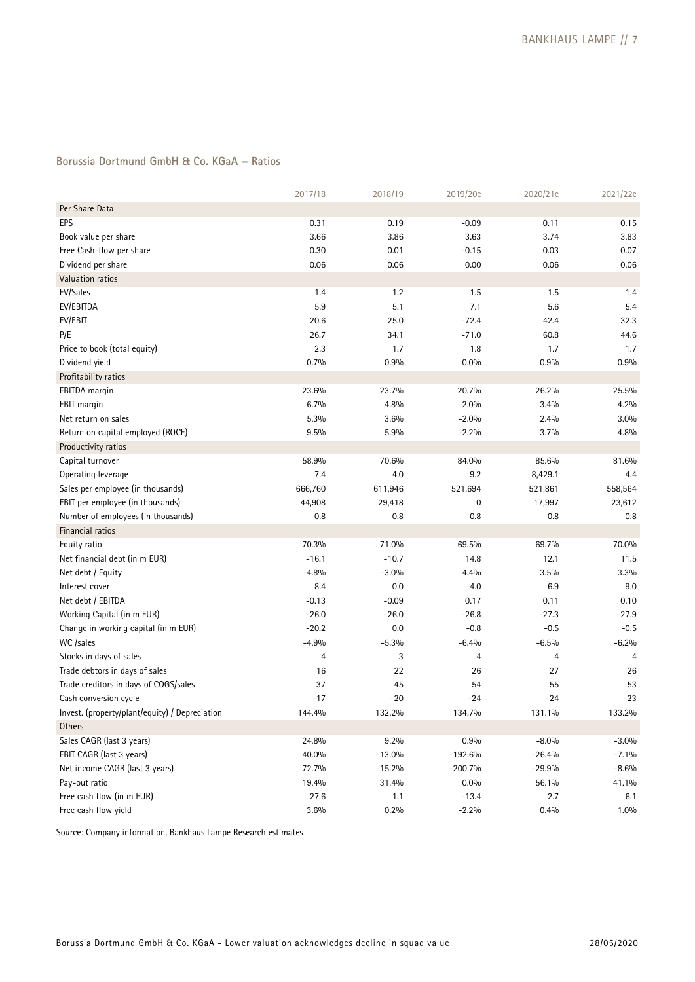# **Borussia Dortmund GmbH & Co. KGaA – Ratios**

|                                                | 2017/18 | 2018/19  | 2019/20e  | 2020/21e   | 2021/22e |
|------------------------------------------------|---------|----------|-----------|------------|----------|
| Per Share Data                                 |         |          |           |            |          |
| EPS                                            | 0.31    | 0.19     | $-0.09$   | 0.11       | 0.15     |
| Book value per share                           | 3.66    | 3.86     | 3.63      | 3.74       | 3.83     |
| Free Cash-flow per share                       | 0.30    | 0.01     | $-0.15$   | 0.03       | 0.07     |
| Dividend per share                             | 0.06    | 0.06     | 0.00      | 0.06       | 0.06     |
| Valuation ratios                               |         |          |           |            |          |
| EV/Sales                                       | 1.4     | 1.2      | 1.5       | 1.5        | 1.4      |
| EV/EBITDA                                      | 5.9     | 5.1      | 7.1       | 5.6        | 5.4      |
| EV/EBIT                                        | 20.6    | 25.0     | $-72.4$   | 42.4       | 32.3     |
| P/E                                            | 26.7    | 34.1     | $-71.0$   | 60.8       | 44.6     |
| Price to book (total equity)                   | 23      | 1.7      | 1.8       | 1.7        | 1.7      |
| Dividend yield                                 | 0.7%    | 0.9%     | $0.0\%$   | 0.9%       | 0.9%     |
| Profitability ratios                           |         |          |           |            |          |
| EBITDA margin                                  | 23.6%   | 23.7%    | 20.7%     | 26.2%      | 25.5%    |
| EBIT margin                                    | 6.7%    | 4.8%     | $-2.0%$   | 3.4%       | 4.2%     |
| Net return on sales                            | 5.3%    | 3.6%     | $-2.0%$   | 2.4%       | 3.0%     |
| Return on capital employed (ROCE)              | 9.5%    | 5.9%     | $-2.2%$   | 3.7%       | 4.8%     |
| Productivity ratios                            |         |          |           |            |          |
| Capital turnover                               | 58.9%   | 70.6%    | 84.0%     | 85.6%      | 81.6%    |
| Operating leverage                             | 7.4     | 4.0      | 9.2       | $-8,429.1$ | 4.4      |
| Sales per employee (in thousands)              | 666,760 | 611,946  | 521,694   | 521,861    | 558,564  |
| EBIT per employee (in thousands)               | 44,908  | 29,418   | 0         | 17,997     | 23,612   |
| Number of employees (in thousands)             | 0.8     | 0.8      | 0.8       | 0.8        | 0.8      |
| Financial ratios                               |         |          |           |            |          |
| Equity ratio                                   | 70.3%   | 71.0%    | 69.5%     | 69.7%      | 70.0%    |
| Net financial debt (in m EUR)                  | $-16.1$ | $-10.7$  | 14.8      | 12.1       | 11.5     |
| Net debt / Equity                              | $-4.8%$ | $-3.0%$  | 4.4%      | 3.5%       | 3.3%     |
| Interest cover                                 | 8.4     | 0.0      | $-4.0$    | 6.9        | 9.0      |
| Net debt / EBITDA                              | $-0.13$ | $-0.09$  | 0.17      | 0.11       | 0.10     |
| Working Capital (in m EUR)                     | $-26.0$ | $-26.0$  | $-26.8$   | $-27.3$    | $-27.9$  |
| Change in working capital (in m EUR)           | $-20.2$ | 0.0      | $-0.8$    | $-0.5$     | $-0.5$   |
| WC /sales                                      | $-4.9%$ | $-5.3%$  | $-6.4%$   | $-6.5%$    | $-6.2%$  |
| Stocks in days of sales                        | 4       | 3        | 4         | 4          |          |
| Trade debtors in days of sales                 | 16      | 22       | 26        | 27         | 26       |
| Trade creditors in days of COGS/sales          | 37      | 45       | 54        | 55         | 53       |
| Cash conversion cycle                          | $-17$   | $-20$    | $-24$     | $-24$      | $-23$    |
| Invest. (property/plant/equity) / Depreciation | 144.4%  | 132.2%   | 134.7%    | 131.1%     | 133.2%   |
| Others                                         |         |          |           |            |          |
| Sales CAGR (last 3 years)                      | 24.8%   | 9.2%     | 0.9%      | $-8.0%$    | $-3.0%$  |
| EBIT CAGR (last 3 years)                       | 40.0%   | $-13.0%$ | $-192.6%$ | $-26.4%$   | $-7.1%$  |
| Net income CAGR (last 3 years)                 | 72.7%   | $-15.2%$ | $-200.7%$ | $-29.9%$   | $-8.6%$  |
| Pay-out ratio                                  | 19.4%   | 31.4%    | $0.0\%$   | 56.1%      | 41.1%    |
| Free cash flow (in m EUR)                      | 27.6    | 1.1      | $-13.4$   | 2.7        | 6.1      |
| Free cash flow yield                           | 3.6%    | 0.2%     | $-2.2%$   | 0.4%       | 1.0%     |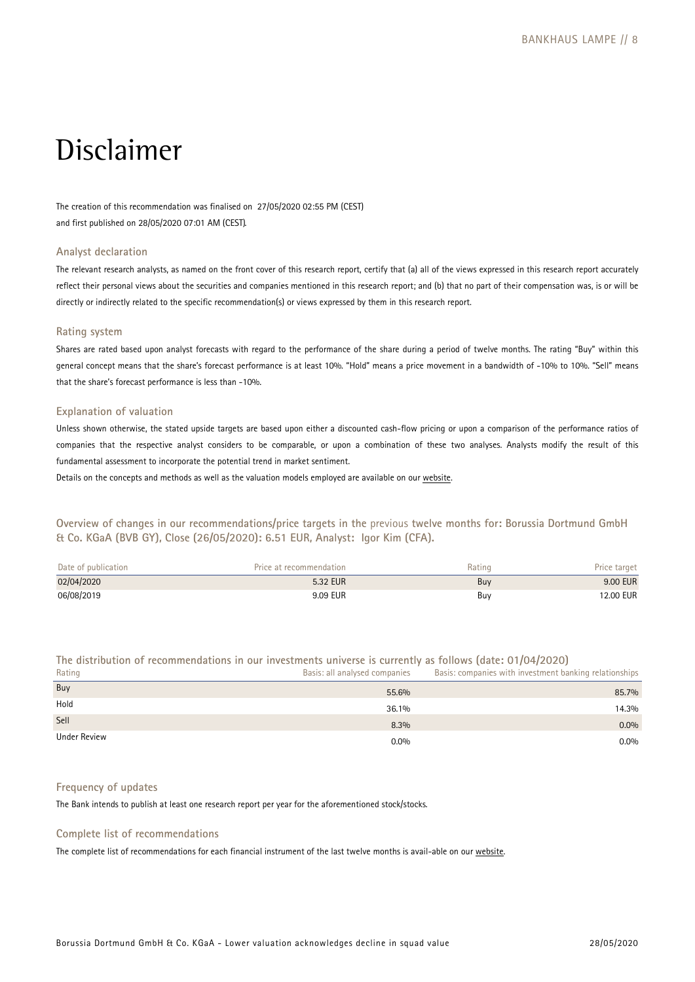# Disclaimer

The creation of this recommendation was finalised on 27/05/2020 02:55 PM (CEST) and first published on 28/05/2020 07:01 AM (CEST).

#### **Analyst declaration**

The relevant research analysts, as named on the front cover of this research report, certify that (a) all of the views expressed in this research report accurately reflect their personal views about the securities and companies mentioned in this research report; and (b) that no part of their compensation was, is or will be directly or indirectly related to the specific recommendation(s) or views expressed by them in this research report.

### **Rating system**

Shares are rated based upon analyst forecasts with regard to the performance of the share during a period of twelve months. The rating "Buy" within this general concept means that the share's forecast performance is at least 10%. "Hold" means a price movement in a bandwidth of -10% to 10%. "Sell" means that the share's forecast performance is less than -10%.

#### **Explanation of valuation**

Unless shown otherwise, the stated upside targets are based upon either a discounted cash-flow pricing or upon a comparison of the performance ratios of companies that the respective analyst considers to be comparable, or upon a combination of these two analyses. Analysts modify the result of this fundamental assessment to incorporate the potential trend in market sentiment.

Details on the concepts and methods as well as the valuation models employed are available on our [website.](https://www.bankhaus-lampe.de/en/research/file/2E1F42C7-9372-4AB5-9D28-91CB91EAA40E/1852)

**Overview of changes in our recommendations/price targets in the** previous **twelve months for: Borussia Dortmund GmbH & Co. KGaA (BVB GY), Close (26/05/2020): 6.51 EUR, Analyst: Igor Kim (CFA).** 

| Date of publication | Price at recommendation | Rating | Price target |
|---------------------|-------------------------|--------|--------------|
| 02/04/2020          | 5.32 EUR                | Buv    | 9.00 EUR     |
| 06/08/2019          | 9.09 EUR                | Buy    | 12.00 EUR    |

**The distribution of recommendations in our investments universe is currently as follows (date: 01/04/2020)** 

| Rating       | Basis: all analysed companies | Basis: companies with investment banking relationships |
|--------------|-------------------------------|--------------------------------------------------------|
| Buy          | 55.6%                         | 85.7%                                                  |
| Hold         | 36.1%                         | 14.3%                                                  |
| Sell         | 8.3%                          | $0.0\%$                                                |
| Under Review | $0.0\%$                       | $0.0\%$                                                |

# **Frequency of updates**

The Bank intends to publish at least one research report per year for the aforementioned stock/stocks.

# **Complete list of recommendations**

The complete list of recommendations for each financial instrument of the last twelve months is avail-able on our [website.](https://www.bankhaus-lampe.de/en/client-portal)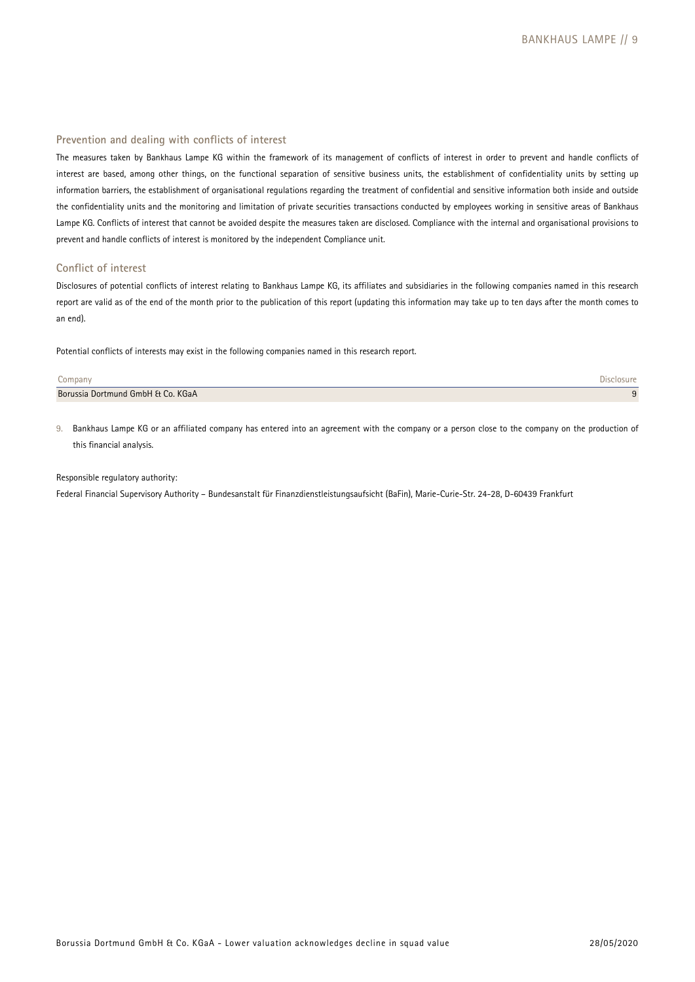#### **Prevention and dealing with conflicts of interest**

The measures taken by Bankhaus Lampe KG within the framework of its management of conflicts of interest in order to prevent and handle conflicts of interest are based, among other things, on the functional separation of sensitive business units, the establishment of confidentiality units by setting up information barriers, the establishment of organisational regulations regarding the treatment of confidential and sensitive information both inside and outside the confidentiality units and the monitoring and limitation of private securities transactions conducted by employees working in sensitive areas of Bankhaus Lampe KG. Conflicts of interest that cannot be avoided despite the measures taken are disclosed. Compliance with the internal and organisational provisions to prevent and handle conflicts of interest is monitored by the independent Compliance unit.

#### **Conflict of interest**

Disclosures of potential conflicts of interest relating to Bankhaus Lampe KG, its affiliates and subsidiaries in the following companies named in this research report are valid as of the end of the month prior to the publication of this report (updating this information may take up to ten days after the month comes to an end).

Potential conflicts of interests may exist in the following companies named in this research report.

| Company                           |  |
|-----------------------------------|--|
| Borussia Dortmund GmbH & Co. KGaA |  |

9. Bankhaus Lampe KG or an affiliated company has entered into an agreement with the company or a person close to the company on the production of this financial analysis.

#### Responsible regulatory authority:

Federal Financial Supervisory Authority – Bundesanstalt für Finanzdienstleistungsaufsicht (BaFin), Marie-Curie-Str. 24-28, D-60439 Frankfurt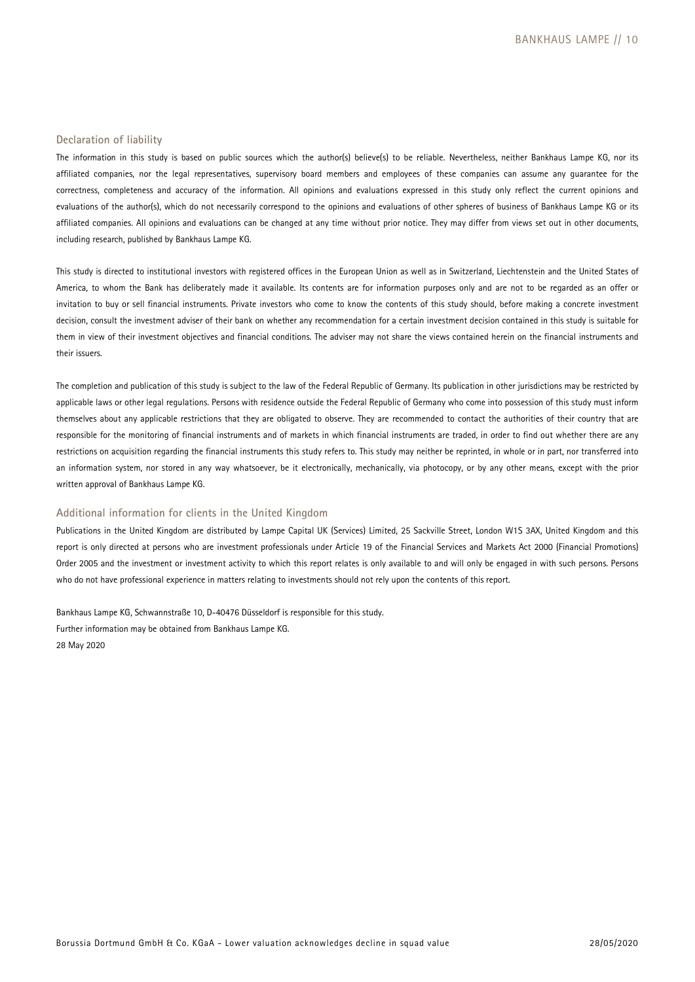#### **Declaration of liability**

The information in this study is based on public sources which the author(s) believe(s) to be reliable. Nevertheless, neither Bankhaus Lampe KG, nor its affiliated companies, nor the legal representatives, supervisory board members and employees of these companies can assume any guarantee for the correctness, completeness and accuracy of the information. All opinions and evaluations expressed in this study only reflect the current opinions and evaluations of the author(s), which do not necessarily correspond to the opinions and evaluations of other spheres of business of Bankhaus Lampe KG or its affiliated companies. All opinions and evaluations can be changed at any time without prior notice. They may differ from views set out in other documents, including research, published by Bankhaus Lampe KG.

This study is directed to institutional investors with registered offices in the European Union as well as in Switzerland, Liechtenstein and the United States of America, to whom the Bank has deliberately made it available. Its contents are for information purposes only and are not to be regarded as an offer or invitation to buy or sell financial instruments. Private investors who come to know the contents of this study should, before making a concrete investment decision, consult the investment adviser of their bank on whether any recommendation for a certain investment decision contained in this study is suitable for them in view of their investment objectives and financial conditions. The adviser may not share the views contained herein on the financial instruments and their issuers.

The completion and publication of this study is subject to the law of the Federal Republic of Germany. Its publication in other jurisdictions may be restricted by applicable laws or other legal regulations. Persons with residence outside the Federal Republic of Germany who come into possession of this study must inform themselves about any applicable restrictions that they are obligated to observe. They are recommended to contact the authorities of their country that are responsible for the monitoring of financial instruments and of markets in which financial instruments are traded, in order to find out whether there are any restrictions on acquisition regarding the financial instruments this study refers to. This study may neither be reprinted, in whole or in part, nor transferred into an information system, nor stored in any way whatsoever, be it electronically, mechanically, via photocopy, or by any other means, except with the prior written approval of Bankhaus Lampe KG.

#### **Additional information for clients in the United Kingdom**

Publications in the United Kingdom are distributed by Lampe Capital UK (Services) Limited, 25 Sackville Street, London W1S 3AX, United Kingdom and this report is only directed at persons who are investment professionals under Article 19 of the Financial Services and Markets Act 2000 (Financial Promotions) Order 2005 and the investment or investment activity to which this report relates is only available to and will only be engaged in with such persons. Persons who do not have professional experience in matters relating to investments should not rely upon the contents of this report.

Bankhaus Lampe KG, Schwannstraße 10, D-40476 Düsseldorf is responsible for this study. Further information may be obtained from Bankhaus Lampe KG. 28 May 2020